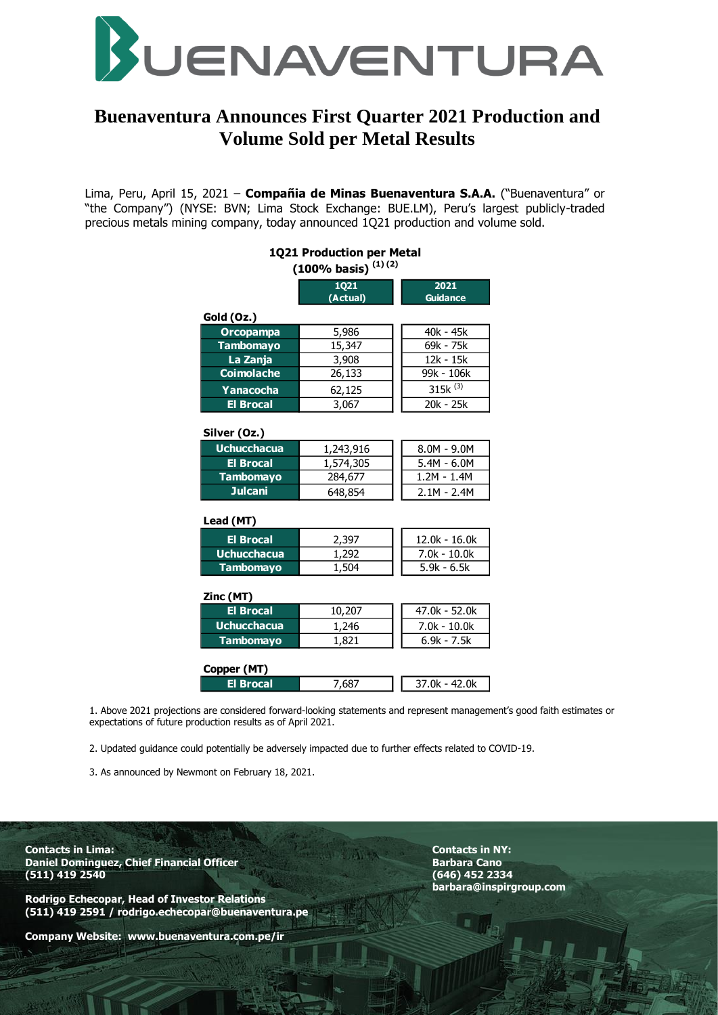

# **Buenaventura Announces First Quarter 2021 Production and Volume Sold per Metal Results**

Lima, Peru, April 15, 2021 – **Compañia de Minas Buenaventura S.A.A.** ("Buenaventura" or "the Company") (NYSE: BVN; Lima Stock Exchange: BUE.LM), Peru's largest publicly-traded precious metals mining company, today announced 1Q21 production and volume sold.

**1Q21 Production per Metal** 

| $(100\%$ basis) $^{(1)(2)}$                            |                        |                                |
|--------------------------------------------------------|------------------------|--------------------------------|
|                                                        | 1021<br>(Actual)       | 2021<br><b>Guidance</b>        |
| Gold (Oz.)                                             |                        |                                |
| <b>Orcopampa</b>                                       | 5,986                  | 40k - 45k                      |
| <b>Tambomayo</b>                                       | 15,347                 | 69k - 75k                      |
| La Zanja                                               | 3,908                  | 12k - 15k                      |
| <b>Coimolache</b>                                      | 26,133                 | 99k - 106k                     |
| Yanacocha                                              | 62,125                 | $315k^{(3)}$                   |
| <b>El Brocal</b>                                       | 3,067                  | $20k - 25k$                    |
| Silver (Oz.)<br><b>Uchucchacua</b><br><b>El Brocal</b> | 1,243,916<br>1,574,305 | $8.0M - 9.0M$<br>$5.4M - 6.0M$ |
| <b>Tambomayo</b>                                       | 284,677                | 1.2M - 1.4M                    |
| <b>Julcani</b>                                         | 648,854                | $2.1M - 2.4M$                  |
| Lead (MT)                                              |                        |                                |
| <b>El Brocal</b>                                       | 2,397                  | 12.0k - 16.0k                  |
| <b>Uchucchacua</b>                                     | 1,292                  | 7.0k - 10.0k                   |
| Tambomayo                                              | 1,504                  | $5.9k - 6.5k$                  |
| Zinc (MT)                                              |                        |                                |
| El Brocal                                              | 10.207                 | $47.0k - 52.0k$                |

| <b>El Brocal</b>   | 10,207 | 47.0k - 52.0k  |
|--------------------|--------|----------------|
| <b>Uchucchacua</b> | 1,246  | $7.0k - 10.0k$ |
| <b>Tambomayo</b>   | 1,821  | $6.9k - 7.5k$  |
| Copper (MT)        |        |                |
| <b>El Brocal</b>   | 7.687  | 37.0k - 42.0k  |

1. Above 2021 projections are considered forward-looking statements and represent management's good faith estimates or expectations of future production results as of April 2021.

2. Updated guidance could potentially be adversely impacted due to further effects related to COVID-19.

3. As announced by Newmont on February 18, 2021.

**Contacts in Lima: Contacts in NY: Daniel Dominguez, Chief Financial Officer Chief Canon Barbara Canon Barbara Canon Barbara Canon Barbara Canon Barbara Canon Barbara Canon Barbara Canon Barbara Canon Barbara Canon Barbara Canon Barbara Canon Barbara Canon (511) 419 2540 (646) 452 2334**

**Rodrigo Echecopar, Head of Investor Relations (511) 419 2591 / rodrigo.echecopar@buenaventura.pe** 

**Company Website: www.buenaventura.com.pe/ir**

**barbara@inspirgroup.com**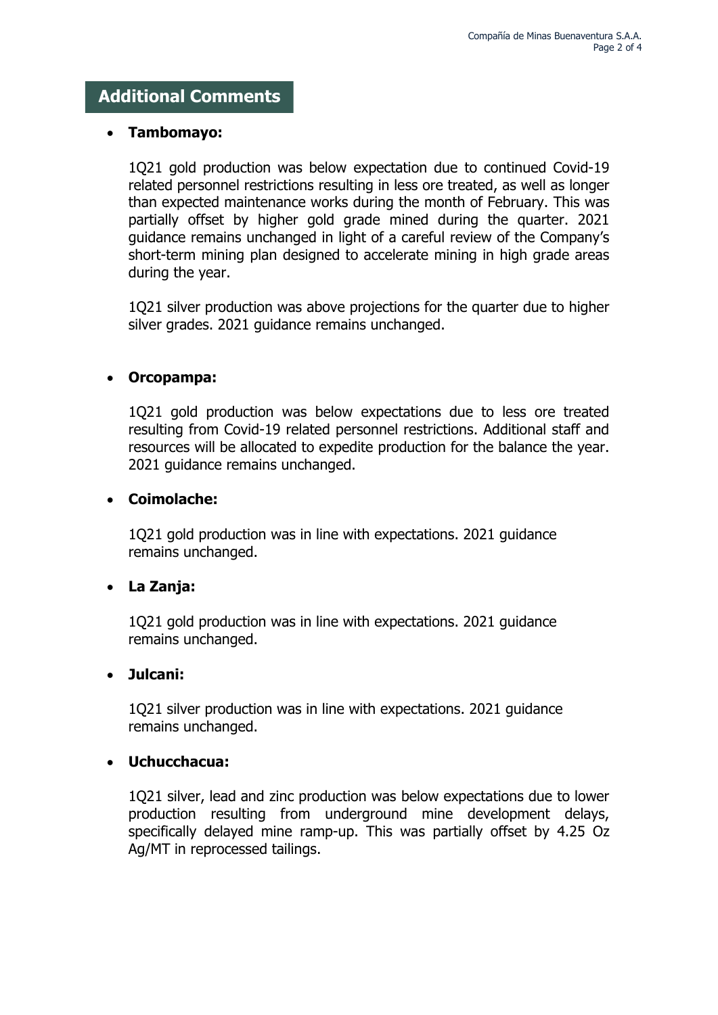# **Additional Comments**

#### **Tambomayo:**

1Q21 gold production was below expectation due to continued Covid-19 related personnel restrictions resulting in less ore treated, as well as longer than expected maintenance works during the month of February. This was partially offset by higher gold grade mined during the quarter. 2021 guidance remains unchanged in light of a careful review of the Company's short-term mining plan designed to accelerate mining in high grade areas during the year.

1Q21 silver production was above projections for the quarter due to higher silver grades. 2021 guidance remains unchanged.

## **Orcopampa:**

1Q21 gold production was below expectations due to less ore treated resulting from Covid-19 related personnel restrictions. Additional staff and resources will be allocated to expedite production for the balance the year. 2021 guidance remains unchanged.

#### **Coimolache:**

1Q21 gold production was in line with expectations. 2021 guidance remains unchanged.

## **La Zanja:**

1Q21 gold production was in line with expectations. 2021 guidance remains unchanged.

#### **Julcani:**

1Q21 silver production was in line with expectations. 2021 guidance remains unchanged.

## **Uchucchacua:**

1Q21 silver, lead and zinc production was below expectations due to lower production resulting from underground mine development delays, specifically delayed mine ramp-up. This was partially offset by 4.25 Oz Ag/MT in reprocessed tailings.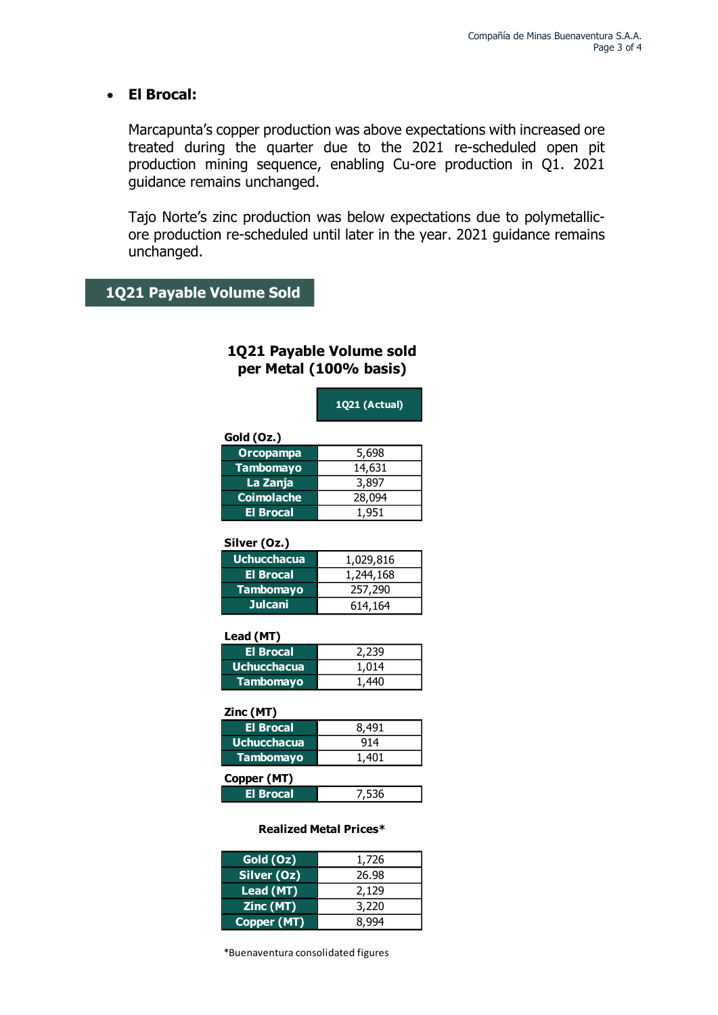#### **El Brocal:**

Marcapunta's copper production was above expectations with increased ore treated during the quarter due to the 2021 re-scheduled open pit production mining sequence, enabling Cu-ore production in Q1. 2021 guidance remains unchanged.

Tajo Norte's zinc production was below expectations due to polymetallicore production re-scheduled until later in the year. 2021 guidance remains unchanged.

## **1Q21 Payable Volume Sold**

## **1Q21 Payable Volume sold per Metal (100% basis)**

**1Q21 (Actual)** 

## **Gold (Oz.)**

| Orcopampa         | 5,698  |
|-------------------|--------|
| <b>Tambomayo</b>  | 14,631 |
| La Zanja          | 3,897  |
| <b>Coimolache</b> | 28,094 |
| <b>El Brocal</b>  | 1.951  |

#### **Silver (Oz.)**

| <b>Uchucchacua</b> | 1,029,816 |
|--------------------|-----------|
| <b>El Brocal</b>   | 1,244,168 |
| <b>Tambomayo</b>   | 257,290   |
| <b>Julcani</b>     | 614,164   |

#### **Lead (MT)**

| <b>El Brocal</b>   | 2,239 |
|--------------------|-------|
| <b>Uchucchacua</b> | 1.014 |
| <b>Tambomayo</b>   | 1.440 |

#### **Zinc (MT)**

| 8,491       |  |
|-------------|--|
| 914         |  |
| 1,401       |  |
| Copper (MT) |  |
|             |  |

| El Brocal | $-$<br>סככ, ⁄ |  |
|-----------|---------------|--|
|           |               |  |

#### **Realized Metal Prices\***

| Gold (Oz)          | 1,726 |
|--------------------|-------|
| Silver (Oz)        | 26.98 |
|                    |       |
| Lead (MT)          | 2,129 |
| Zinc (MT)          | 3,220 |
| <b>Copper (MT)</b> | 8.994 |

\*Buenaventura consolidated figures